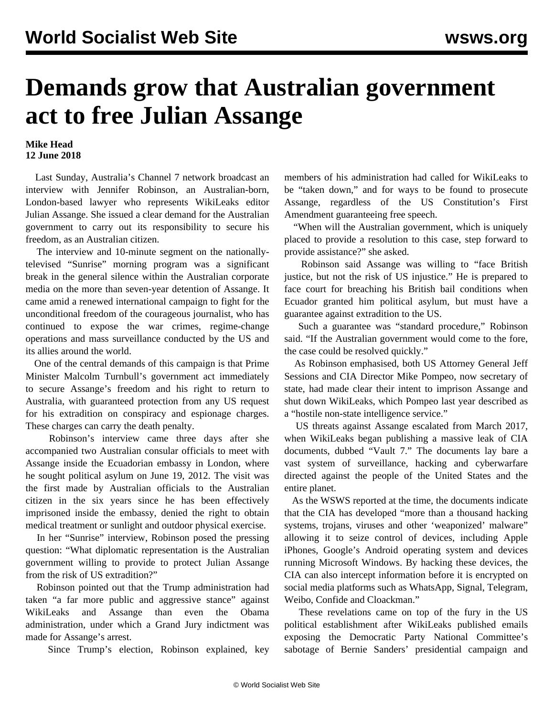## **Demands grow that Australian government act to free Julian Assange**

## **Mike Head 12 June 2018**

 Last Sunday, Australia's Channel 7 network broadcast an interview with Jennifer Robinson, an Australian-born, London-based lawyer who represents WikiLeaks editor Julian Assange. She issued a clear demand for the Australian government to carry out its responsibility to secure his freedom, as an Australian citizen.

 The interview and 10-minute segment on the nationallytelevised "Sunrise" morning program was a significant break in the general silence within the Australian corporate media on the more than seven-year detention of Assange. It came amid a renewed international campaign to fight for the unconditional freedom of the courageous journalist, who has continued to expose the war crimes, regime-change operations and mass surveillance conducted by the US and its allies around the world.

 One of the central demands of this campaign is that Prime Minister Malcolm Turnbull's government act immediately to secure Assange's freedom and his right to return to Australia, with guaranteed protection from any US request for his extradition on conspiracy and espionage charges. These charges can carry the death penalty.

 Robinson's interview came three days after she accompanied two Australian consular officials to meet with Assange inside the Ecuadorian embassy in London, where he sought political asylum on June 19, 2012. The visit was the first made by Australian officials to the Australian citizen in the six years since he has been effectively imprisoned inside the embassy, denied the right to obtain medical treatment or sunlight and outdoor physical exercise.

 In her "Sunrise" interview, Robinson posed the pressing question: "What diplomatic representation is the Australian government willing to provide to protect Julian Assange from the risk of US extradition?"

 Robinson pointed out that the Trump administration had taken "a far more public and aggressive stance" against WikiLeaks and Assange than even the Obama administration, under which a Grand Jury indictment was made for Assange's arrest.

Since Trump's election, Robinson explained, key

members of his administration had called for WikiLeaks to be "taken down," and for ways to be found to prosecute Assange, regardless of the US Constitution's First Amendment guaranteeing free speech.

 "When will the Australian government, which is uniquely placed to provide a resolution to this case, step forward to provide assistance?" she asked.

 Robinson said Assange was willing to "face British justice, but not the risk of US injustice." He is prepared to face court for breaching his British bail conditions when Ecuador granted him political asylum, but must have a guarantee against extradition to the US.

 Such a guarantee was "standard procedure," Robinson said. "If the Australian government would come to the fore, the case could be resolved quickly."

 As Robinson emphasised, both US Attorney General Jeff Sessions and CIA Director Mike Pompeo, now secretary of state, had made clear their intent to imprison Assange and shut down WikiLeaks, which Pompeo last year described as a "hostile non-state intelligence service."

 US threats against Assange escalated from March 2017, when WikiLeaks began publishing a massive leak of CIA documents, dubbed "Vault 7." The documents lay bare a vast system of surveillance, hacking and cyberwarfare directed against the people of the United States and the entire planet.

 As the WSWS [reported](/en/articles/2017/03/08/pers-m08.html) at the time, the documents indicate that the CIA has developed "more than a thousand hacking systems, trojans, viruses and other 'weaponized' malware" allowing it to seize control of devices, including Apple iPhones, Google's Android operating system and devices running Microsoft Windows. By hacking these devices, the CIA can also intercept information before it is encrypted on social media platforms such as WhatsApp, Signal, Telegram, Weibo, Confide and Cloackman."

 These revelations came on top of the fury in the US political establishment after WikiLeaks published emails exposing the Democratic Party National Committee's sabotage of Bernie Sanders' presidential campaign and